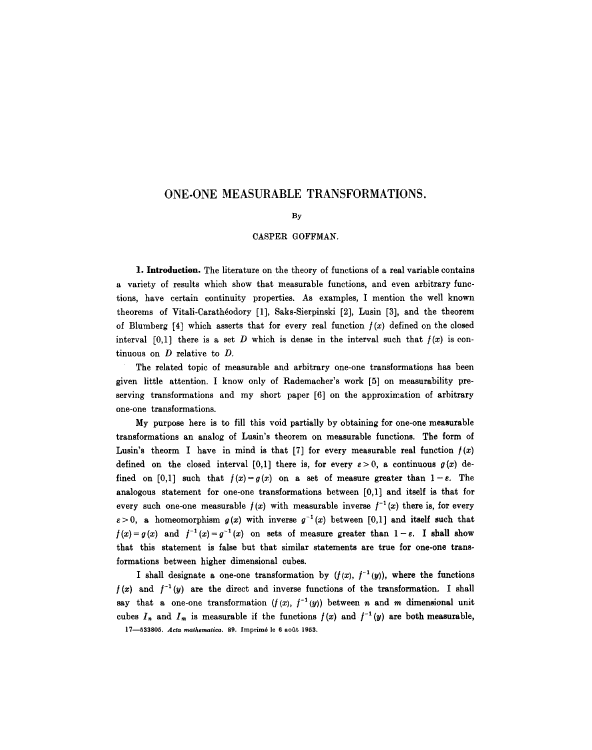## **ONE-ONE MEASURABLE TRANSFORMATIONS.**

## By

## OASPER GOFFMAN.

1. Introduction. The literature on the theory of functions of a real variable contains a variety of results which show that measurable functions, and even arbitrary functions, have certain continuity properties. As examples, I mention the well known theorems of Vitali-Carathéodory [1], Saks-Sierpinski [2], Lusin [3], and the theorem of Blumberg  $[4]$  which asserts that for every real function  $f(x)$  defined on the closed interval  $[0,1]$  there is a set D which is dense in the interval such that  $f(x)$  is continuous on D relative to D.

The related topic of measurable and arbitrary one-one transformations has been given little attention. I know only of Rademacher's work [5] on measurability preserving transformations and my short paper [6] on the approximation of arbitrary one-one transformations.

My purpose here is to fill this void partially by obtaining for one-one measurable transformations an analog of Lusin's theorem on measurable functions. The form of Lusin's theorm I have in mind is that [7] for every measurable real function  $f(x)$ defined on the closed interval [0,1] there is, for every  $\varepsilon > 0$ , a continuous  $g(x)$  defined on [0,1] such that  $f(x) = g(x)$  on a set of measure greater than  $1 - \varepsilon$ . The analogous statement for one-one transformations between [0,1] and itself is that for every such one-one measurable  $f(x)$  with measurable inverse  $f^{-1}(x)$  there is, for every  $\varepsilon > 0$ , a homeomorphism  $g(x)$  with inverse  $g^{-1}(x)$  between [0,1] and itself such that  $f(x)=g(x)$  and  $f^{-1}(x)=g^{-1}(x)$  on sets of measure greater than  $1-\varepsilon$ . I shall show that this statement is false but that similar statements are true for one-one transformations between higher dimensional cubes.

I shall designate a one-one transformation by  $(f(x), f^{-1}(y))$ , where the functions  $f(x)$  and  $f^{-1}(y)$  are the direct and inverse functions of the transformation. I shall say that a one-one transformation  $(f(x), f^{-1}(y))$  between *n* and *m* dimensional unit cubes  $I_n$  and  $I_m$  is measurable if the functions  $f(x)$  and  $f^{-1}(y)$  are both measurable, 17-533805. *Acta mathematica*. 89. Imprimé le 6 août 1953.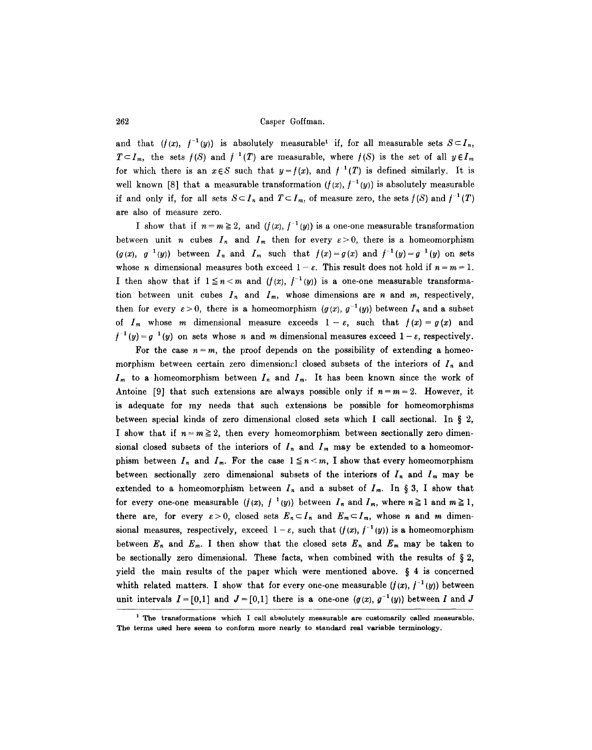and that  $(f(x), f^{-1}(y))$  is absolutely measurable<sup>1</sup> if, for all measurable sets  $S\subset I_n$ ,  $T \subset I_m$ , the sets  $f(S)$  and  $f^{-1}(T)$  are measurable, where  $f(S)$  is the set of all  $y \in I_m$ for which there is an  $x \in S$  such that  $y = f(x)$ , and  $f^{-1}(T)$  is defined similarly. It is well known [8] that a measurable transformation  $(f(x), f^{-1}(y))$  is absolutely measurable if and only if, for all sets  $S \subset I_n$  and  $T \subset I_m$ , of measure zero, the sets  $f(S)$  and  $f^{-1}(T)$ are also of measure zero.

I show that if  $n = m \geq 2$ , and  $(f(x), f^{-1}(y))$  is a one-one measurable transformation between unit *n* cubes  $I_n$  and  $I_m$  then for every  $\varepsilon > 0$ , there is a homeomorphism  $(g(x), g^{-1}(y))$  between  $I_n$  and  $I_m$  such that  $f(x)=g(x)$  and  $f^{-1}(y)=g^{-1}(y)$  on sets whose *n* dimensional measures both exceed  $1 - \varepsilon$ . This result does not hold if  $n = m = 1$ . I then show that if  $1 \le n < m$  and  $(f(x), f^{-1}(y))$  is a one-one measurable transformation between unit cubes  $I_n$  and  $I_m$ , whose dimensions are n and m, respectively, then for every  $\varepsilon > 0$ , there is a homeomorphism  $(g(x), g^{-1}(y))$  between  $I_n$  and a subset of  $I_m$  whose m dimensional measure exceeds  $1-\varepsilon$ , such that  $f(x)=g(x)$  and  $f^{-1}(y) = g^{-1}(y)$  on sets whose n and m dimensional measures exceed  $1 - \varepsilon$ , respectively.

For the case  $n = m$ , the proof depends on the possibility of extending a homeomorphism between certain zero dimensional closed subsets of the interiors of  $I_n$  and  $I_m$  to a homeomorphism between  $I_n$  and  $I_m$ . It has been known since the work of Antoine [9] that such extensions are always possible only if  $n=m=2$ . However, it is adequate for my needs that such extensions be possible for homeomorphisms between special kinds of zero dimensional closed sets which I call sectional. In § 2, I show that if  $n = m \geq 2$ , then every homeomorphism between sectionally zero dimensional closed subsets of the interiors of  $I_n$  and  $I_m$  may be extended to a homeomorphism between  $I_n$  and  $I_m$ . For the case  $1 \leq n < m$ , I show that every homeomorphism between sectionally zero dimensional subsets of the interiors of  $I_n$  and  $I_m$  may be extended to a homeomorphism between  $I_n$  and a subset of  $I_m$ . In § 3, I show that for every one-one measurable  $(f(x), f^{-1}(y))$  between  $I_n$  and  $I_m$ , where  $n \ge 1$  and  $m \ge 1$ , there are, for every  $\varepsilon > 0$ , closed sets  $E_n \subset I_n$  and  $E_m \subset I_m$ , whose n and m dimensional measures, respectively, exceed  $1 - \varepsilon$ , such that  $(f(x), f^{-1}(y))$  is a homeomorphism between  $E_n$  and  $E_m$ . I then show that the closed sets  $E_n$  and  $E_m$  may be taken to be sectionally zero dimensional. These facts, when combined with the results of  $\S 2$ , yield the main results of the paper which were mentioned above.  $\S$  4 is concerned whith related matters. I show that for every one-one measurable  $(f(x), f^{-1}(y))$  between unit intervals  $I = [0,1]$  and  $J = [0,1]$  there is a one-one  $(g(x), g^{-1}(y))$  between I and J

<sup>&</sup>lt;sup>1</sup> The transformations which I call absolutely measurable are customarily called measurable. The terms used here seem to conform more nearly to standard real variable terminology.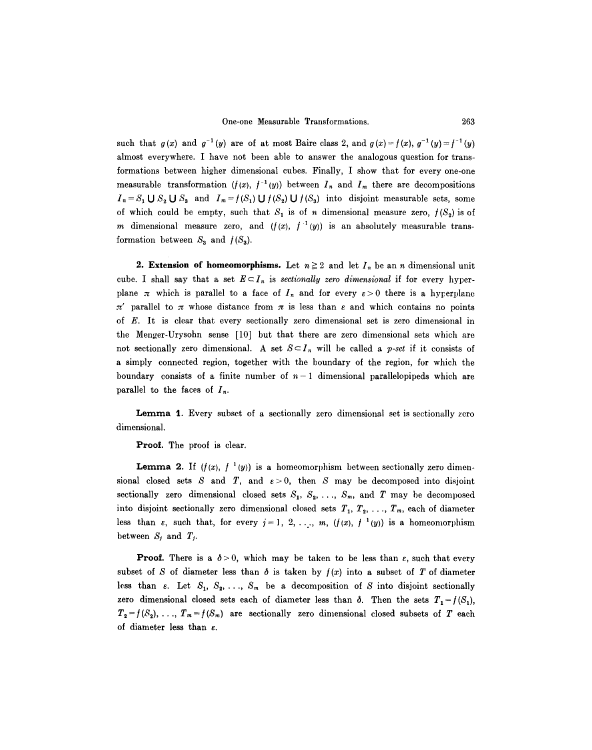such that  $g(x)$  and  $g^{-1}(y)$  are of at most Baire class 2, and  $g(x) = f(x), g^{-1}(y) = f^{-1}(y)$ almost everywhere. I have not been able to answer the analogous question for transformations between higher dimensional cubes. Finally, I show that for every one-one measurable transformation  $(f(x), f^{-1}(y))$  between  $I_n$  and  $I_m$  there are decompositions  $I_n = S_1 \cup S_2 \cup S_3$  and  $I_m = f(S_1) \cup f(S_2) \cup f(S_3)$  into disjoint measurable sets, some of which could be empty, such that  $S_1$  is of n dimensional measure zero,  $f(S_2)$  is of m dimensional measure zero, and  $(f(x), f^{-1}(y))$  is an absolutely measurable transformation between  $S_3$  and  $f(S_3)$ .

**2. Extension of homeomorphisms.** Let  $n \geq 2$  and let  $I_n$  be an *n* dimensional unit cube. I shall say that a set  $E \subseteq I_n$  is *sectionally zero dimensional* if for every hyperplane  $\pi$  which is parallel to a face of  $I_n$  and for every  $\varepsilon > 0$  there is a hyperplane  $\pi'$  parallel to  $\pi$  whose distance from  $\pi$  is less than  $\varepsilon$  and which contains no points of E. It is clear that every sectionally zero dimensional set is zero dimensional in the Menger-Urysohn sense [10] but that there are zero dimensional sets which are not sectionally zero dimensional. A set  $S \subset I_n$  will be called a *p-set* if it consists of a simply connected region, together with the boundary of the region, for which the boundary consists of a finite number of  $n-1$  dimensional parallelopipeds which are parallel to the faces of  $I_n$ .

Lemma 1. Every subset of a sectionally zero dimensional set is sectionally zero dimensional.

Proof. The proof is clear.

**Lemma 2.** If  $(f(x), f^{-1}(y))$  is a homeomorphism between sectionally zero dimensional closed sets S and T, and  $\varepsilon > 0$ , then S may be decomposed into disjoint sectionally zero dimensional closed sets  $S_1, S_2, \ldots, S_m$ , and T may be decomposed into disjoint sectionally zero dimensional closed sets  $T_1, T_2, \ldots, T_m$ , each of diameter less than  $\varepsilon$ , such that, for every  $j=1, 2, ..., m$ ,  $(f(x), f^{-1}(y))$  is a homeomorphism between  $S_j$  and  $T_j$ .

**Proof.** There is a  $\delta > 0$ , which may be taken to be less than  $\varepsilon$ , such that every subset of S of diameter less than  $\delta$  is taken by  $f(x)$  into a subset of T of diameter less than  $\varepsilon$ . Let  $S_1, S_2, \ldots, S_m$  be a decomposition of S into disjoint sectionally zero dimensional closed sets each of diameter less than  $\delta$ . Then the sets  $T_1 = f(S_1)$ ,  $T_2=f(S_2), \ldots, T_m=f(S_m)$  are sectionally zero dimensional closed subsets of T each of diameter less than  $\varepsilon$ .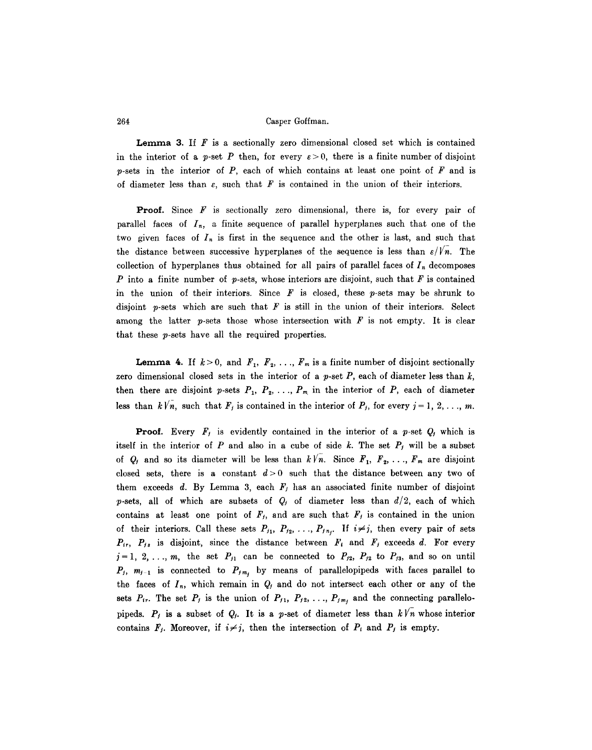**Lemma 3.** If  $F$  is a sectionally zero dimensional closed set which is contained in the interior of a p-set P then, for every  $\varepsilon > 0$ , there is a finite number of disjoint  $p$ -sets in the interior of  $P$ , each of which contains at least one point of  $F$  and is of diameter less than  $\varepsilon$ , such that F is contained in the union of their interiors.

**Proof.** Since  $F$  is sectionally zero dimensional, there is, for every pair of parallel faces of  $I_n$ , a finite sequence of parallel hyperplanes such that one of the two given faces of  $I_n$  is first in the sequence and the other is last, and such that the distance between successive hyperplanes of the sequence is less than  $\varepsilon/Vn$ . The collection of hyperplanes thus obtained for all pairs of parallel faces of  $I_n$  decomposes P into a finite number of p-sets, whose interiors are disjoint, such that F is contained in the union of their interiors. Since  $\boldsymbol{F}$  is closed, these  $p$ -sets may be shrunk to disjoint p-sets which are such that  $F$  is still in the union of their interiors. Select among the latter p-sets those whose intersection with  $F$  is not empty. It is clear that these p-sets have all the required properties.

**Lemma 4.** If  $k > 0$ , and  $F_1, F_2, \ldots, F_m$  is a finite number of disjoint sectionally zero dimensional closed sets in the interior of a  $p$ -set  $P$ , each of diameter less than  $k$ , then there are disjoint p-sets  $P_1, P_2, \ldots, P_m$  in the interior of P, each of diameter less than  $k\sqrt{n}$ , such that  $F_j$  is contained in the interior of  $P_j$ , for every  $j=1, 2, \ldots, m$ .

**Proof.** Every  $F_j$  is evidently contained in the interior of a p-set  $Q_j$  which is itself in the interior of P and also in a cube of side k. The set  $P_i$  will be a subset of  $Q_i$  and so its diameter will be less than  $k\sqrt{n}$ . Since  $F_1, F_2, \ldots, F_m$  are disjoint closed sets, there is a constant  $d>0$  such that the distance between any two of them exceeds d. By Lemma 3, each  $F_i$  has an associated finite number of disjoint p-sets, all of which are subsets of  $Q_i$  of diameter less than  $d/2$ , each of which contains at least one point of  $F_i$ , and are such that  $F_j$  is contained in the union of their interiors. Call these sets  $P_{i_1}, P_{i_2}, \ldots, P_{i_n}$ . If  $i \neq j$ , then every pair of sets  $P_{ir}$ ,  $P_{js}$  is disjoint, since the distance between  $F_i$  and  $F_j$  exceeds d. For every  $j = 1, 2, \ldots, m$ , the set  $P_{j1}$  can be connected to  $P_{j2}$ ,  $P_{j2}$  to  $P_{j3}$ , and so on until  $P_j$ ,  $m_{j-1}$  is connected to  $P_{j,m_j}$  by means of parallelopipeds with faces parallel to the faces of  $I_n$ , which remain in  $Q_i$  and do not intersect each other or any of the sets  $P_{ir}$ . The set  $P_j$  is the union of  $P_{j1}$ ,  $P_{j2}$ , ...,  $P_{jm_j}$  and the connecting parallelopipeds.  $P_j$  is a subset of  $Q_j$ . It is a p-set of diameter less than  $k\sqrt{n}$  whose interior contains  $F_j$ . Moreover, if  $i \neq j$ , then the intersection of  $P_i$  and  $P_j$  is empty.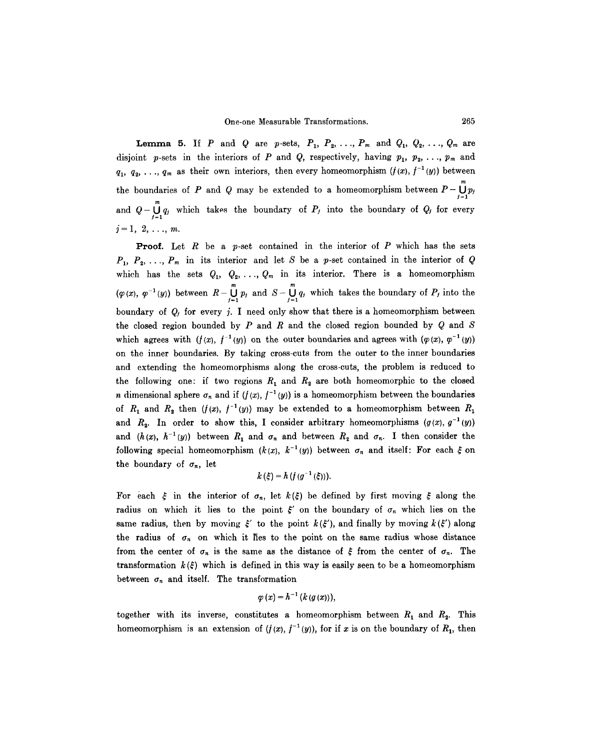**Lemma 5.** If P and Q are p-sets,  $P_1$ ,  $P_2$ , ...,  $P_m$  and  $Q_1$ ,  $Q_2$ , ...,  $Q_m$  are disjoint p-sets in the interiors of P and Q, respectively, having  $p_1, p_2, \ldots, p_m$  and  $q_1, q_2, \ldots, q_m$  as their own interiors, then every homeomorphism  $(f(x), f^{-1}(y))$  between the boundaries of P and Q may be extended to a homeomorphism between  $P-\bigcup_{i=1}^{\infty} p_i$ 1=1 and  $Q - \bigcup_{j=1}^d q_j$  which takes the boundary of  $P_j$  into the boundary of  $Q_j$  for every  $j=1, 2, \ldots, m.$ 

**Proof.** Let R be a p-set contained in the interior of P which has the sets  $P_1, P_2, \ldots, P_m$  in its interior and let S be a p-set contained in the interior of Q which has the sets  $Q_1, Q_2, \ldots, Q_m$  in its interior. There is a homeomorphism  $(\varphi(x), \varphi^{-1}(y))$  between  $R-\bigcup_{j=1}^{\infty} p_j$  and  $S-\bigcup_{j=1}^{\infty} q_j$  which takes the boundary of  $P_j$  into the boundary of  $Q_i$  for every j. I need only show that there is a homeomorphism between the closed region bounded by  $P$  and  $R$  and the closed region bounded by  $Q$  and  $S$ which agrees with  $(f(x), f^{-1}(y))$  on the outer boundaries and agrees with  $(\varphi(x), \varphi^{-1}(y))$ on the inner boundaries. By taking cross-cuts from the outer to the inner boundaries and extending the homeomorphisms along the cross-cuts, the problem is reduced to the following one: if two regions  $R_1$  and  $R_2$  are both homeomorphic to the closed n dimensional sphere  $\sigma_n$  and if  $(f(x), f^{-1}(y))$  is a homeomorphism between the boundaries of  $R_1$  and  $R_2$  then  $(f(x), f^{-1}(y))$  may be extended to a homeomorphism between  $R_1$ and  $R_2$ . In order to show this, I consider arbitrary homeomorphisms  $(g(x), g^{-1}(y))$ and  $(h(x), h^{-1}(y))$  between  $R_1$  and  $\sigma_n$  and between  $R_2$  and  $\sigma_n$ . I then consider the following special homeomorphism  $(k(x), k^{-1}(y))$  between  $\sigma_n$  and itself: For each  $\xi$  on the boundary of  $\sigma_n$ , let

$$
k(\xi) = h(f(g^{-1}(\xi))).
$$

For each  $\xi$  in the interior of  $\sigma_n$ , let  $k(\xi)$  be defined by first moving  $\xi$  along the radius on which it lies to the point  $\xi'$  on the boundary of  $\sigma_n$  which lies on the same radius, then by moving  $\xi'$  to the point  $k(\xi')$ , and finally by moving  $k(\xi')$  along the radius of  $\sigma_n$  on which it fies to the point on the same radius whose distance from the center of  $\sigma_n$  is the same as the distance of  $\xi$  from the center of  $\sigma_n$ . The transformation  $k(\xi)$  which is defined in this way is easily seen to be a homeomorphism between  $\sigma_n$  and itself. The transformation

$$
\varphi\left( x\right) =h^{-1}\left( k\left( g\left( x\right) \right) \right) ,
$$

together with its inverse, constitutes a homeomorphism between  $R_1$  and  $R_2$ . This homeomorphism is an extension of  $(f(x), f^{-1}(y))$ , for if x is on the boundary of  $R_1$ , then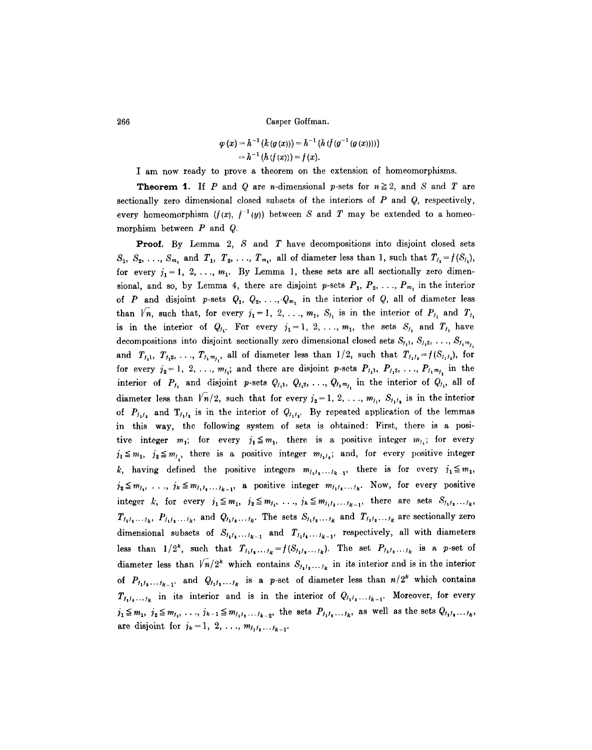$$
\varphi(x) = h^{-1} (k (g(x))) = h^{-1} (h (f (g^{-1} (g (x))))
$$
  
=  $h^{-1} (h (f (x))) = f (x).$ 

I am now ready to prove a theorem on the extension of homeomorphisms.

**Theorem 1.** If P and Q are n-dimensional p-sets for  $n \ge 2$ , and S and T are sectionally zero dimensional closed subsets of the interiors of  $P$  and  $Q$ , respectively, every homeomorphism  $(f(x), f^{-1}(y))$  between S and T may be extended to a homeomorphism between  $P$  and  $Q$ .

**Proof.** By Lemma 2,  $S$  and  $T$  have decompositions into disjoint closed sets  $S_1, S_2, \ldots, S_{m_1}$  and  $T_1, T_2, \ldots, T_{m_1}$ , all of diameter less than 1, such that  $T_{j_1} = f(S_{j_1}),$ for every  $j_1 = 1, 2, \ldots, m_1$ . By Lemma 1, these sets are all sectionally zero dimensional, and so, by Lemma 4, there are disjoint p-sets  $P_1, P_2, \ldots, P_{m_1}$  in the interior of P and disjoint p-sets  $Q_1, Q_2, \ldots, Q_{m_1}$  in the interior of Q, all of diameter less than  $\sqrt{n}$ , such that, for every  $j_1 = 1, 2, \ldots, m_1, S_{j_1}$  is in the interior of  $P_{j_1}$  and  $T_{j_1}$ is in the interior of  $Q_{j_1}$ . For every  $j_1 = 1, 2, \ldots, m_1$ , the sets  $S_{j_1}$  and  $T_{j_1}$  have decompositions into disjoint sectionally zero dimensional closed sets  $S_{j_1}, S_{j_2}, \ldots, S_{j_1m_j}$ and  $T_{j_1}, T_{j_2}, ..., T_{j_i m_j}$ , all of diameter less than  $1/2$ , such that  $T_{j_1 j_2} = f(S_{j_1 j_2})$ , for for every  $j_2 = 1, 2, ..., m_{j_1}$ ; and there are disjoint p-sets  $P_{j_1}, P_{j_1}, \ldots, P_{j_i, m_{j_i}}$  in the interior of  $P_{j_1}$  and disjoint p-sets  $Q_{j_1}, Q_{j_1}, \ldots, Q_{j_n,m_{j_n}}$  in the interior of  $Q_{j_1}$ , all of diameter less than  $\sqrt{n/2}$ , such that for every  $j_2 = 1, 2, \ldots, m_j, S_{j,j}$  is in the interior of  $P_{j_1j_2}$  and  $T_{j_1j_2}$  is in the interior of  $Q_{j_1j_2}$ . By repeated application of the lemmas in this way, the following system of sets is obtained: First, there is a positive integer  $m_1$ ; for every  $j_1 \leq m_1$ , there is a positive integer  $m_{j_1}$ ; for every  $j_1 \n\t\leq m_1, j_2 \leq m_j$ , there is a positive integer  $m_{j_1j_2}$ ; and, for every positive integer k, having defined the positive integers  $m_{j_1j_2...j_{k-1}}$ , there is for every  $j_1 \leq m_1$ ,  $j_2 \leq m_{j_1}, \ldots, j_k \leq m_{j_1j_2...j_{k-1}},$  a positive integer  $m_{j_1j_2...j_k}$ . Now, for every positive integer k, for every  $j_1 \leq m_1$ ,  $j_2 \leq m_{j_1}, \ldots, j_k \leq m_{j_1j_2} \ldots j_{k-1}$ , there are sets  $S_{j_1j_2} \ldots j_k$ ,  $T_{j_1j_2...j_k}$ ,  $P_{j_1j_3...j_k}$ , and  $Q_{j_1j_2...j_k}$ . The sets  $S_{j_1j_2...j_k}$  and  $T_{j_1j_2...j_k}$  are sectionally zero dimensional subsets of  $S_{i_1,i_2...i_{k-1}}$  and  $T_{i_1,i_2...i_{k-1}}$ , respectively, all with diameters less than  $1/2^k$ , such that  $T_{j_1j_2...j_k}=f(S_{j_1j_2...j_k})$ . The set  $P_{j_1j_2...j_k}$  is a p-set of diameter less than  $\sqrt{n}/2^k$  which contains  $S_{i_1,i_2,\ldots,i_k}$  in its interior and is in the interior of  $P_{j_1j_2...j_{k-1}}$  and  $Q_{j_1j_2...j_k}$  is a p-set of diameter less than  $n/2^k$  which contains  $T_{j_1j_2...j_k}$  in its interior and is in the interior of  $Q_{j_1j_2...j_{k-1}}$ . Moreover, for every  $j_1 \leq m_1, j_2 \leq m_{j_1}, \ldots, j_{k-1} \leq m_{j_1j_2...j_{k-2}}$ , the sets  $P_{j_1j_2...j_k}$ , as well as the sets  $Q_{j_1j_2...j_k}$ , are disjoint for  $j_k = 1, 2, ..., m_{j_1 j_2 ... j_{k-1}}$ .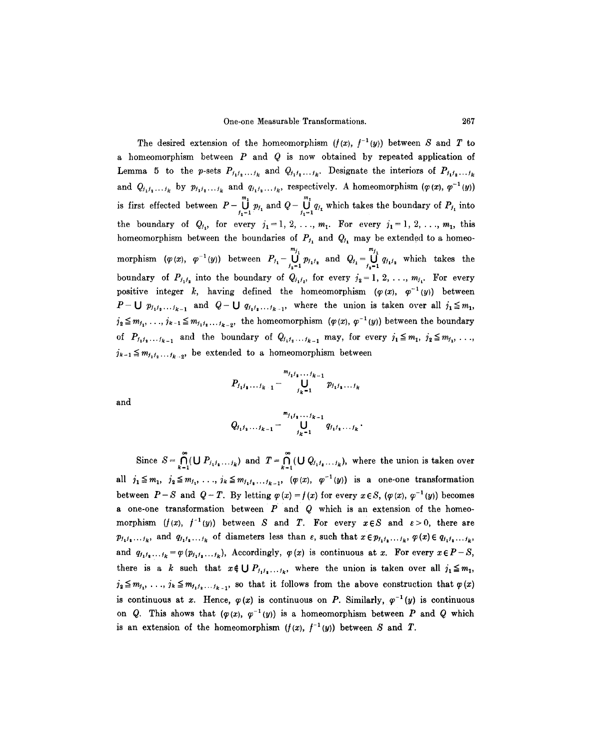The desired extension of the homeomorphism  $(f(x), f^{-1}(y))$  between S and T to a homeomorphism between  $P$  and  $Q$  is now obtained by repeated application of Lemma 5 to the p-sets  $P_{j_1j_2...j_k}$  and  $Q_{j_1j_2...j_k}$ . Designate the interiors of  $P_{j_1j_2...j_k}$ and  $Q_{j_1j_2...j_k}$  by  $p_{j_1j_2...j_k}$  and  $q_{j_1j_2...j_k}$ , respectively. A homeomorphism  $(\varphi(x), \varphi^{-1}(y))$ is first effected between  $P - \bigcup_{j_1=1}^{m_1} p_{j_1}$  and  $Q - \bigcup_{j_1=1}^{m_1} q_{j_1}$  which takes the boundary of  $P_{j_1}$  into the boundary of  $Q_{j_1}$ , for every  $j_1=1, 2, \ldots, m_1$ . For every  $j_1=1, 2, \ldots, m_1$ , this homeomorphism between the boundaries of  $P_{j_1}$  and  $Q_{j_1}$  may be extended to a homeomorphism  $(\varphi(x), \varphi^{-1}(y))$  between  $P_{j_1} - \bigcup^{m_{j_1}} p_{j_1j_2}$  and  $Q_{j_1} = \bigcup^{m_{j_1}} q_{j_1j_2}$  which takes the boundary of  $P_{j_1j_2}$  into the boundary of  $Q_{j_1j_2}$ , for every  $j_2 = 1, 2, \ldots, m_{j_1}$ . For every positive integer k, having defined the homeomorphism  $(\varphi(x), \varphi^{-1}(y))$  between  $P-U p_{i_1i_2...i_{k-1}}$  and  $Q-U q_{i_1i_2...i_{k-1}}$ , where the union is taken over all  $i_1 \leq m_1$ ,  $j_2 \leq m_{j_1}, \ldots, j_{k-1} \leq m_{j_1j_2,\ldots,j_{k-2}}$ , the homeomorphism  $(\varphi(x), \varphi^{-1}(y))$  between the boundary of  $P_{j_1j_2...j_{k-1}}$  and the boundary of  $Q_{j_1j_2...j_{k-1}}$  may, for every  $j_1 \leq m_1, j_2 \leq m_{j_1}, \ldots$  $j_{k-1} \leq m_{j_1j_2...j_{k-2}}$ , be extended to a homeomorphism between

$$
P_{j_1j_2...j_{k-1}} - \bigcup_{j_k=1}^{m_{j_1j_2...j_{k-1}}} p_{j_1j_2...j_k}
$$

and

$$
Q_{i_1i_1...i_{k-1}} - \bigcup_{j_{k-1}}^{m_{j_1j_1...j_{k-1}}} q_{i_1i_1...i_k}.
$$

Since  $S = \bigcap_{k=1}^{n} (\bigcup P_{i_1, i_2, \ldots, i_k})$  and  $T = \bigcap_{k=1}^{n} (\bigcup Q_{i_1, i_2, \ldots, i_k})$ , where the union is taken over all  $j_1 \leq m_1$ ,  $j_2 \leq m_{j_1}, \ldots, j_k \leq m_{j_1j_2,\ldots,j_{k-1}}$ ,  $(\varphi(x), \varphi^{-1}(y))$  is a one-one transformation between  $P-S$  and  $Q-T$ . By letting  $\varphi(x) = f(x)$  for every  $x \in S$ ,  $(\varphi(x), \varphi^{-1}(y))$  becomes a one-one transformation between  $P$  and  $Q$  which is an extension of the homeomorphism  $(f(x), f^{-1}(y))$  between S and T. For every  $x \in S$  and  $\varepsilon > 0$ , there are  $p_{j_1j_2...j_k}$ , and  $q_{j_1j_2...j_k}$  of diameters less than  $\varepsilon$ , such that  $x \in p_{j_1j_2...j_k}$ ,  $\varphi(x) \in q_{j_1j_2...j_k}$ , and  $q_{i_1i_2...i_k} = \varphi(p_{i_1i_2...i_k}),$  Accordingly,  $\varphi(x)$  is continuous at x. For every  $x \in P-S$ , there is a k such that  $x \notin \bigcup P_{f_1, f_2, \ldots, f_k}$ , where the union is taken over all  $j_1 \leq m_1$ ,  $j_2 \leq m_{j_1}, \ldots, j_k \leq m_{j_1j_2...j_{k-1}},$  so that it follows from the above construction that  $\varphi(x)$ is continuous at x. Hence,  $\varphi(x)$  is continuous on P. Similarly,  $\varphi^{-1}(y)$  is continuous on Q. This shows that  $(\varphi(x), \varphi^{-1}(y))$  is a homeomorphism between P and Q which is an extension of the homeomorphism  $(f(x), f^{-1}(y))$  between S and T.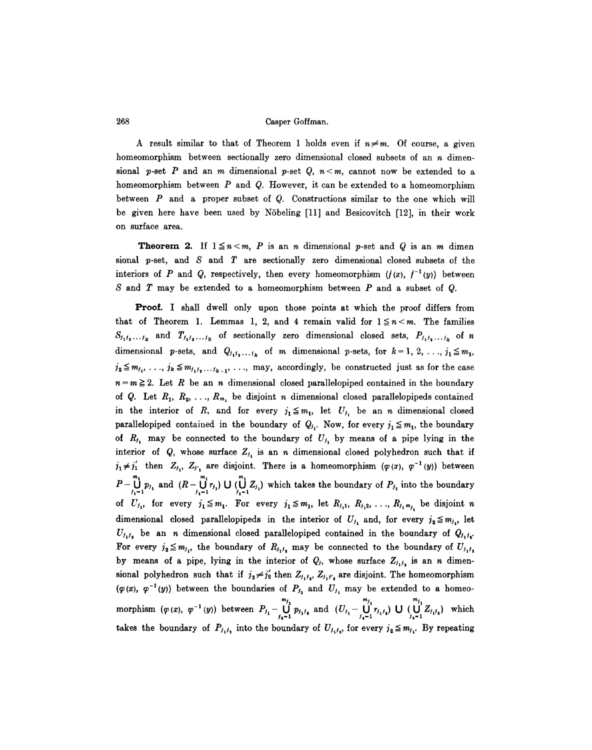A result similar to that of Theorem 1 holds even if  $n \neq m$ . Of course, a given homeomorphism between sectionally zero dimensional closed subsets of an  $n$  dimensional p-set P and an m dimensional p-set Q,  $n < m$ , cannot now be extended to a homeomorphism between  $P$  and  $Q$ . However, it can be extended to a homeomorphism between  $P$  and a proper subset of  $Q$ . Constructions similar to the one which will be given here have been used by Nöbeling [11] and Besicovitch [12], in their work on surface area.

**Theorem 2.** If  $1 \le n < m$ , P is an n dimensional p-set and Q is an m dimen sional p-set, and S and T are sectionally zero dimensional closed subsets of the interiors of P and Q, respectively, then every homeomorphism  $(f(x), f^{-1}(y))$  between  $S$  and  $T$  may be extended to a homeomorphism between  $P$  and a subset of  $Q$ .

Proof. I shall dwell only upon those points at which the proof differs from that of Theorem 1. Lemmas 1, 2, and 4 remain valid for  $1 \leq n < m$ . The families  $S_{j_1j_2...j_k}$  and  $T_{j_1j_2...j_k}$  of sectionally zero dimensional closed sets,  $P_{j_1j_2...j_k}$  of n dimensional p-sets, and  $Q_{j_1j_2...j_k}$  of m dimensional p-sets, for  $k = 1, 2, ..., j_1 \leq m_1$ ,  $j_2 \leq m_{j_1}, \ldots, j_k \leq m_{j_1j_2,\ldots,j_{k-1}}, \ldots$ , may, accordingly, be constructed just as for the case  $n = m \geq 2$ . Let R be an n dimensional closed parallelopiped contained in the boundary of Q. Let  $R_1, R_2, \ldots, R_{m_1}$  be disjoint n dimensional closed parallelopipeds contained in the interior of R, and for every  $j_1 \leq m_1$ , let  $U_{j_1}$  be an n dimensional closed parallelopiped contained in the boundary of  $Q_{j_1}$ . Now, for every  $j_1 \leq m_1$ , the boundary of  $R_{j_1}$  may be connected to the boundary of  $U_{j_1}$  by means of a pipe lying in the interior of Q, whose surface  $Z_{i_1}$  is an n dimensional closed polyhedron such that if  $j_1 \neq j'_1$  then  $Z_{j_1}$ ,  $Z_{j'_1}$  are disjoint. There is a homeomorphism  $(\varphi(x), \varphi^{-1}(y))$  between  $P-\bigcup_{j_1=1}^{m_1} p_{j_1}$  and  $(R-\bigcup_{j_1=1}^{m_1} r_{j_1}) \cup (\bigcup_{j_1=1}^{m_1} Z_{j_1})$  which takes the boundary of  $P_{j_1}$  into the boundary of  $U_{j_1}$ , for every  $j_1 \leq m_1$ . For every  $j_1 \leq m_1$ , let  $R_{j_1}, R_{j_1}, \ldots, R_{j_i}$  be disjoint n dimensional closed parallelopipeds in the interior of  $U_{j_1}$  and, for every  $j_2 \leq m_{j_1}$ , let  $U_{i,j}$  be an *n* dimensional closed parallelopiped contained in the boundary of  $Q_{i,j}$ . For every  $j_2 \leq m_{j_1}$ , the boundary of  $R_{j_1j_2}$  may be connected to the boundary of  $U_{j_1j_2}$ by means of a pipe, lying in the interior of  $Q_i$ , whose surface  $Z_{i_1i_2}$  is an n dimensional polyhedron such that if  $j_2 \neq j'_2$  then  $Z_{j_1j_2}$ ,  $Z_{j_1j'_2}$  are disjoint. The homeomorphism  $(\varphi(x), \varphi^{-1}(y))$  between the boundaries of  $P_{f_1}$  and  $U_{f_1}$  may be extended to a homeo $m_j$ ,  $m_j$ ,  $m_j$ ,  $m_j$ , morphism  $(\varphi(x), \varphi^{-1}(y))$  between  $P_{i_1} - \bigcup p_{i_1 i_2}$  and  $(U_{i_1} - \bigcup r_{i_1 i_3}) \bigcup (\bigcup z_{i_1 i_3})$  which takes the boundary of  $P_{j_1j_2}$  into the boundary of  $U_{j_1j_2}$ , for every  $j_2 \leq m_{j_1}$ . By repeating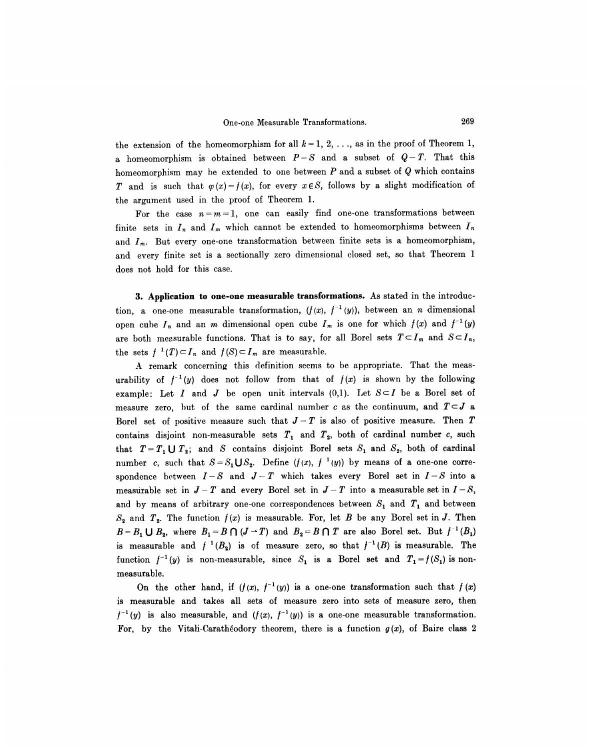the extension of the homeomorphism for all  $k = 1, 2, \ldots$ , as in the proof of Theorem 1, a homeomorphism is obtained between  $P-S$  and a subset of  $Q-T$ . That this homeomorphism may be extended to one between  $P$  and a subset of  $Q$  which contains T and is such that  $\varphi(x) = f(x)$ , for every  $x \in S$ , follows by a slight modification of the argument used in the proof of Theorem 1.

For the case  $n=m=1$ , one can easily find one-one transformations between finite sets in  $I_n$  and  $I_m$  which cannot be extended to homeomorphisms between  $I_n$ and  $I_m$ . But every one-one transformation between finite sets is a homeomorphism, and every finite set is a sectionally zero dimensional closed set, so that Theorem 1 does not hold for this case.

**3. Application to one-one measurable transformations.** As stated in the introduction, a one-one measurable transformation,  $(f(x), f^{-1}(y))$ , between an *n* dimensional open cube  $I_n$  and an m dimensional open cube  $I_m$  is one for which  $f(x)$  and  $f^{-1}(y)$ are both measurable functions. That is to say, for all Borel sets  $T \subset I_m$  and  $S \subset I_n$ , the sets  $f^{-1}(T) \subset I_n$  and  $f(S) \subset I_m$  are measurable.

A remark concerning this definition seems to be appropriate. That the measurability of  $f^{-1}(y)$  does not follow from that of  $f(x)$  is shown by the following example: Let I and J be open unit intervals  $(0,1)$ . Let  $S\subset I$  be a Borel set of measure zero, but of the same cardinal number c as the continuum, and  $T\subset J$  a Borel set of positive measure such that  $J-T$  is also of positive measure. Then T contains disjoint non-measurable sets  $T_1$  and  $T_2$ , both of cardinal number *c*, such that  $T=T_1 \cup T_2$ ; and S contains disjoint Borel sets  $S_1$  and  $S_2$ , both of cardinal number c, such that  $S=S_1\bigcup S_2$ . Define  $(f(x), f^{-1}(y))$  by means of a one-one correspondence between  $I-S$  and  $J-T$  which takes every Borel set in  $I-S$  into a measurable set in  $J-T$  and every Borel set in  $J-T$  into a measurable set in  $I-S$ , and by means of arbitrary one-one correspondences between  $S_1$  and  $T_1$  and between  $S_2$  and  $T_2$ . The function  $f(x)$  is measurable. For, let B be any Borel set in J. Then  $B = B_1 \cup B_2$ , where  $B_1 = B \cap (J - T)$  and  $B_2 = B \cap T$  are also Borel set. But  $f^{-1}(B_1)$ is measurable and  $f^{-1}(B_2)$  is of measure zero, so that  $f^{-1}(B)$  is measurable. The function  $f^{-1}(y)$  is non-measurable, since  $S_1$  is a Borel set and  $T_1=f(S_1)$  is nonmeasurable.

On the other hand, if  $(f(x), f^{-1}(y))$  is a one-one transformation such that  $f(x)$ is measurable and takes all sets of measure zero into sets of measure zero, then  $f^{-1}(y)$  is also measurable, and  $(f(x), f^{-1}(y))$  is a one-one measurable transformation. For, by the Vitali-Caratheodory theorem, there is a function  $g(x)$ , of Baire class 2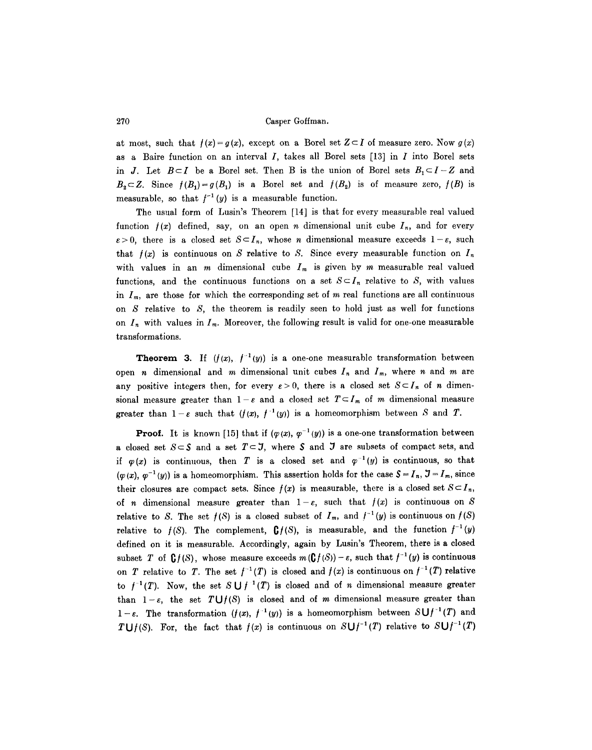at most, such that  $f(x) = g(x)$ , except on a Borel set  $Z \subset I$  of measure zero. Now  $g(x)$ as a Baire function on an interval  $I$ , takes all Borel sets [13] in  $I$  into Borel sets in J. Let  $B \subset I$  be a Borel set. Then B is the union of Borel sets  $B_1 \subset I - Z$  and  $B_2 \subset Z$ . Since  $f(B_1) = g(B_1)$  is a Borel set and  $f(B_2)$  is of measure zero,  $f(B)$  is measurable, so that  $f^{-1}(y)$  is a measurable function.

The usual form of Lusin's Theorem [14] is that for every measurable real valued function  $f(x)$  defined, say, on an open *n* dimensional unit cube  $I_n$ , and for every  $\varepsilon > 0$ , there is a closed set  $S \subset I_n$ , whose *n* dimensional measure exceeds  $1 - \varepsilon$ , such that  $f(x)$  is continuous on S relative to S. Since every measurable function on  $I_n$ with values in an m dimensional cube  $I_m$  is given by m measurable real valued functions, and the continuous functions on a set  $S \subset I_n$  relative to S, with values in  $I_m$ , are those for which the corresponding set of m real functions are all continuous on  $S$  relative to  $S$ , the theorem is readily seen to hold just as well for functions on  $I_n$  with values in  $I_m$ . Moreover, the following result is valid for one-one measurable transformations.

**Theorem 3.** If  $(f(x), f^{-1}(y))$  is a one-one measurable transformation between open *n* dimensional and *m* dimensional unit cubes  $I_n$  and  $I_m$ , where *n* and *m* are any positive integers then, for every  $\varepsilon > 0$ , there is a closed set  $S \subset I_n$  of n dimensional measure greater than  $1-\varepsilon$  and a closed set  $T\subset I_m$  of m dimensional measure greater than  $1-\varepsilon$  such that  $(f(x), f^{-1}(y))$  is a homeomorphism between S and T.

**Proof.** It is known [15] that if  $(\varphi(x), \varphi^{-1}(y))$  is a one-one transformation between a closed set  $S\subset S$  and a set  $T\subset J$ , where S and J are subsets of compact sets, and if  $\varphi(x)$  is continuous, then T is a closed set and  $\varphi^{-1}(y)$  is continuous, so that  $(\varphi(x), \varphi^{-1}(y))$  is a homeomorphism. This assertion holds for the case  $\mathcal{S} = I_n$ ,  $\mathcal{J} = I_m$ , since their closures are compact sets. Since  $f(x)$  is measurable, there is a closed set  $S \subset I_n$ , of *n* dimensional measure greater than  $1-\varepsilon$ , such that  $f(x)$  is continuous on S relative to S. The set  $f(S)$  is a closed subset of  $I_m$ , and  $f^{-1}(y)$  is continuous on  $f(S)$ relative to  $f(S)$ . The complement,  $\mathbf{G}f(S)$ , is measurable, and the function  $f^{-1}(y)$ defined on it is measurable. Accordingly, again by Lusin's Theorem, there is a closed subset T of  $\mathbf{G} f(S)$ , whose measure exceeds  $m(\mathbf{G} f(S)) - \varepsilon$ , such that  $f^{-1}(y)$  is continuous on T relative to T. The set  $f^{-1}(T)$  is closed and  $f(x)$  is continuous on  $f^{-1}(T)$  relative to  $f^{-1}(T)$ . Now, the set  $S \bigcup f^{-1}(T)$  is closed and of n dimensional measure greater than  $1-\varepsilon$ , the set  $T\bigcup f(S)$  is closed and of m dimensional measure greater than  $1-\varepsilon$ . The transformation  $(f(x), f^{-1}(y))$  is a homeomorphism between  $S\bigcup f^{-1}(T)$  and *TU/(S).* For, the fact that  $f(x)$  is continuous on  $S \cup f^{-1}(T)$  relative to  $S \cup f^{-1}(T)$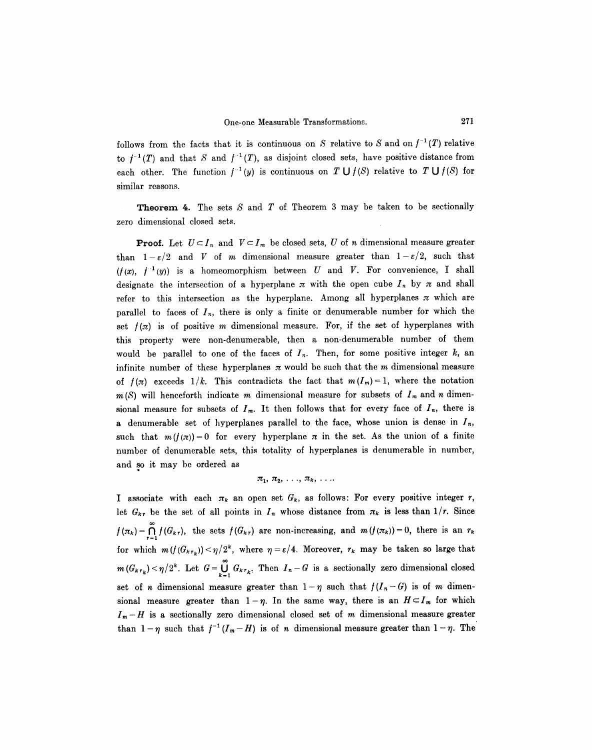follows from the facts that it is continuous on S relative to S and on  $f^{-1}(T)$  relative to  $f^{-1}(T)$  and that S and  $f^{-1}(T)$ , as disjoint closed sets, have positive distance from each other. The function  $f^{-1}(y)$  is continuous on T  $\bigcup f(S)$  relative to T  $\bigcup f(S)$  for similar reasons.

**Theorem 4.** The sets  $S$  and  $T$  of Theorem 3 may be taken to be sectionally zero dimensional closed sets.

**Proof.** Let  $U \subset I_n$  and  $V \subset I_m$  be closed sets, U of n dimensional measure greater than  $1-\varepsilon/2$  and V of m dimensional measure greater than  $1-\varepsilon/2$ , such that  $(f(x), f^{-1}(y))$  is a homeomorphism between U and V. For convenience, I shall designate the intersection of a hyperplane  $\pi$  with the open cube  $I_n$  by  $\pi$  and shall refer to this intersection as the hyperplane. Among all hyperplanes  $\pi$  which are parallel to faces of  $I_n$ , there is only a finite or denumerable number for which the set  $f(\pi)$  is of positive m dimensional measure. For, if the set of hyperplanes with this property were non-denumerable, then a non-denumerable number of them would be parallel to one of the faces of  $I_n$ . Then, for some positive integer k, an infinite number of these hyperplanes  $\pi$  would be such that the m dimensional measure of  $f(\pi)$  exceeds  $1/k$ . This contradicts the fact that  $m(I_m)=1$ , where the notation  $m(S)$  will henceforth indicate m dimensional measure for subsets of  $I_m$  and n dimensional measure for subsets of  $I_m$ . It then follows that for every face of  $I_n$ , there is a denumerable set of hyperplanes parallel to the face, whose union is dense in  $I_n$ , such that  $m(f(\pi))=0$  for every hyperplane  $\pi$  in the set. As the union of a finite number of denumerable sets, this totality of hyperplanes is denumerable in number, and so it may bc ordered as t

$$
\pi_1, \pi_2, \ldots, \pi_k, \ldots
$$

I associate with each  $\pi_k$  an open set  $G_k$ , as follows: For every positive integer r, let  $G_{k,r}$  be the set of all points in  $I_n$  whose distance from  $\pi_k$  is less than  $1/r$ . Since  $f(\pi_k) = \bigcap_{r=1}^k f(G_{k,r})$ , the sets  $f(G_{k,r})$  are non-increasing, and  $m(f(\pi_k)) = 0$ , there is an  $r_k$ for which  $m(f(G_{k,r_k})) < \eta/2^k$ , where  $\eta = \varepsilon/4$ . Moreover,  $r_k$  may be taken so large that  $m(G_{k,r_k}) < \eta/2^k$ . Let  $G = \bigcup_{k=1} G_{k,r_k}$ . Then  $I_n - G$  is a sectionally zero dimensional closed set of n dimensional measure greater than  $1-\eta$  such that  $f(I_n-G)$  is of m dimensional measure greater than  $1-\eta$ . In the same way, there is an  $H\subset I_m$  for which  $I_m-H$  is a sectionally zero dimensional closed set of m dimensional measure greater than  $1-\eta$  such that  $f^{-1}(I_m-H)$  is of n dimensional measure greater than  $1-\eta$ . The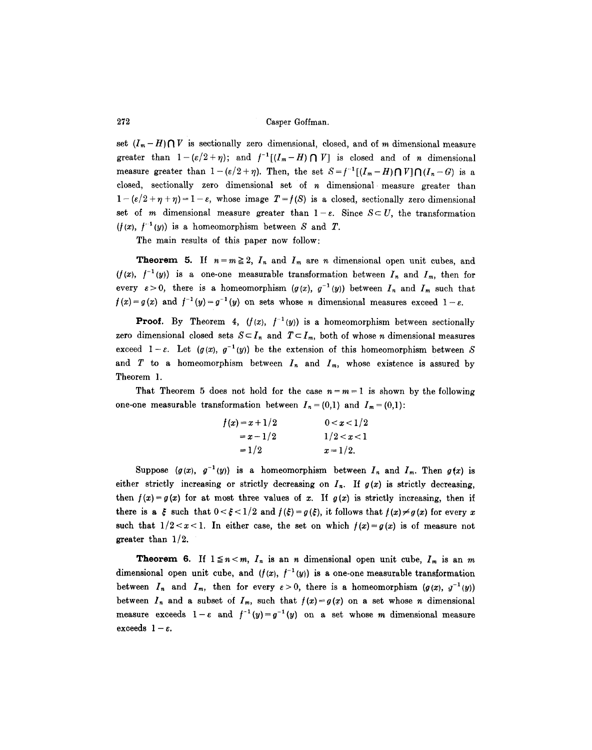set  $(I_m - H) \bigcap V$  is sectionally zero dimensional, closed, and of m dimensional measure greater than  $1-(\varepsilon/2+\eta)$ ; and  $f^{-1}[(I_m-H)\bigcap V]$  is closed and of n dimensional measure greater than  $1 - (\varepsilon/2 + \eta)$ . Then, the set  $S = f^{-1}[(I_m - H) \cap V] \cap (I_n - G)$  is a closed, sectionally zero dimensional set of n dimensional measure greater than  $1-(\varepsilon/2+\eta+\eta)=1-\varepsilon$ , whose image  $T=f(S)$  is a closed, sectionally zero dimensional set of m dimensional measure greater than  $1-\varepsilon$ . Since  $S \subset U$ , the transformation  $(f(x), f^{-1}(y))$  is a homeomorphism between S and T.

The main results of this paper now follow:

**Theorem 5.** If  $n = m \ge 2$ ,  $I_n$  and  $I_m$  are n dimensional open unit cubes, and  $(f(x), f^{-1}(y))$  is a one-one measurable transformation between  $I_n$  and  $I_m$ , then for every  $\varepsilon > 0$ , there is a homeomorphism  $(g(x), g^{-1}(y))$  between  $I_n$  and  $I_m$  such that  $f(x)=g(x)$  and  $f^{-1}(y)=g^{-1}(y)$  on sets whose *n* dimensional measures exceed  $1-\varepsilon$ .

**Proof.** By Theorem 4,  $(f(x), f^{-1}(y))$  is a homeomorphism between sectionally zero dimensional closed sets  $S \subseteq I_n$  and  $T \subseteq I_m$ , both of whose *n* dimensional measures exceed  $1-\varepsilon$ . Let  $(g(x), g^{-1}(y))$  be the extension of this homeomorphism between S and T to a homeomorphism between  $I_n$  and  $I_m$ , whose existence is assured by Theorem 1.

That Theorem 5 does not hold for the case  $n = m = 1$  is shown by the following one-one measurable transformation between  $I_n = (0,1)$  and  $I_m = (0,1)$ :

| $f(x) = x + 1/2$ | 0 < x < 1/2 |
|------------------|-------------|
| $=x-1/2$         | 1/2 < x < 1 |
| $=1/2$           | $x = 1/2.$  |

Suppose  $(g(x), g^{-1}(y))$  is a homeomorphism between  $I_n$  and  $I_m$ . Then  $g(x)$  is either strictly increasing or strictly decreasing on  $I_n$ . If  $g(x)$  is strictly decreasing, then  $f(x) = g(x)$  for at most three values of x. If  $g(x)$  is strictly increasing, then if there is a  $\xi$  such that  $0 < \xi < 1/2$  and  $f(\xi) = g(\xi)$ , it follows that  $f(x) \neq g(x)$  for every x such that  $1/2 < x < 1$ . In either case, the set on which  $f(x) = g(x)$  is of measure not greater than 1/2.

**Theorem 6.** If  $1 \le n < m$ ,  $I_n$  is an n dimensional open unit cube,  $I_m$  is an m dimensional open unit cube, and  $(f(x), f^{-1}(y))$  is a one-one measurable transformation between  $I_n$  and  $I_m$ , then for every  $\varepsilon > 0$ , there is a homeomorphism  $(g(x), y^{-1}(y))$ between  $I_n$  and a subset of  $I_m$ , such that  $f(x)=g(x)$  on a set whose *n* dimensional measure exceeds  $1-\varepsilon$  and  $f^{-1}(y)=g^{-1}(y)$  on a set whose m dimensional measure exceeds  $1 - \varepsilon$ .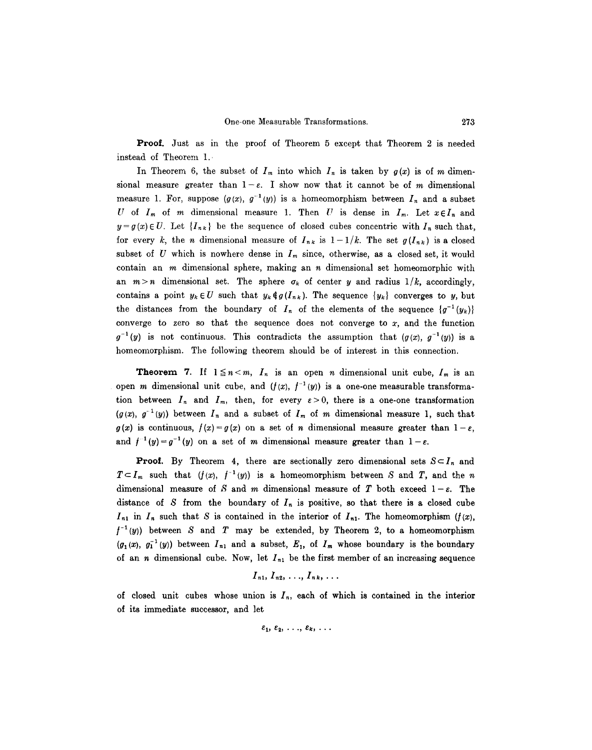Proof. Just as in the proof of Theorem 5 except that Theorem 2 is needed instead of Theorem 1..

In Theorem 6, the subset of  $I_m$  into which  $I_n$  is taken by  $g(x)$  is of m dimensional measure greater than  $1-\epsilon$ . I show now that it cannot be of m dimensional measure 1. For, suppose  $(g(x), g^{-1}(y))$  is a homeomorphism between  $I_n$  and a subset U of  $I_m$  of m dimensional measure 1. Then U is dense in  $I_m$ . Let  $x \in I_n$  and  $y = g(x) \in U$ . Let  $\{I_{nk}\}\$ be the sequence of closed cubes concentric with  $I_n$  such that, for every k, the *n* dimensional measure of  $I_{nk}$  is  $1-1/k$ . The set  $g(I_{nk})$  is a closed subset of U which is nowhere dense in  $I_m$  since, otherwise, as a closed set, it would contain an  $m$  dimensional sphere, making an  $n$  dimensional set homeomorphic with an  $m>n$  dimensional set. The sphere  $\sigma_k$  of center y and radius  $1/k$ , accordingly, contains a point  $y_k \in U$  such that  $y_k \notin g(I_{nk})$ . The sequence  $\{y_k\}$  converges to y, but the distances from the boundary of  $I_n$  of the elements of the sequence  $\{g^{-1}(y_k)\}$ converge to zero so that the sequence does not converge to  $x$ , and the function  $g^{-1}(y)$  is not continuous. This contradicts the assumption that  $(g(x), g^{-1}(y))$  is a homeomorphism. The following theorem should be of interest in this connection.

**Theorem 7.** If  $1 \le n < m$ ,  $I_n$  is an open *n* dimensional unit cube,  $I_m$  is an open m dimensional unit cube, and  $(f(x), f^{-1}(y))$  is a one-one measurable transformation between  $I_n$  and  $I_m$ , then, for every  $\varepsilon > 0$ , there is a one-one transformation  $(g(x), g^{-1}(y))$  between  $I_n$  and a subset of  $I_m$  of m dimensional measure 1, such that  $g(x)$  is continuous,  $f(x) = g(x)$  on a set of n dimensional measure greater than  $1 - \varepsilon$ , and  $f^{-1}(y)=g^{-1}(y)$  on a set of m dimensional measure greater than  $1-\varepsilon$ .

**Proof.** By Theorem 4, there are sectionally zero dimensional sets  $S \subset I_n$  and  $T \subset I_m$  such that  $(f(x), f^{-1}(y))$  is a homeomorphism between *S* and *T*, and the *n* dimensional measure of S and m dimensional measure of T both exceed  $1-\varepsilon$ . The distance of S from the boundary of  $I_n$  is positive, so that there is a closed cube  $I_{n1}$  in  $I_n$  such that S is contained in the interior of  $I_{n1}$ . The homeomorphism  $(f(x),$  $f^{-1}(y)$  between S and T may be extended, by Theorem 2, to a homeomorphism  $(g_1(x), g_1^{-1}(y))$  between  $I_{n1}$  and a subset,  $E_1$ , of  $I_m$  whose boundary is the boundary of an *n* dimensional cube. Now, let  $I_{n_1}$  be the first member of an increasing sequence

$$
I_{n1}, I_{n2}, \ldots, I_{nk}, \ldots
$$

of closed unit cubes whose union is  $I_n$ , each of which is contained in the interior of its immediate successor, and let

$$
\varepsilon_1, \varepsilon_2, \ldots, \varepsilon_k, \ldots
$$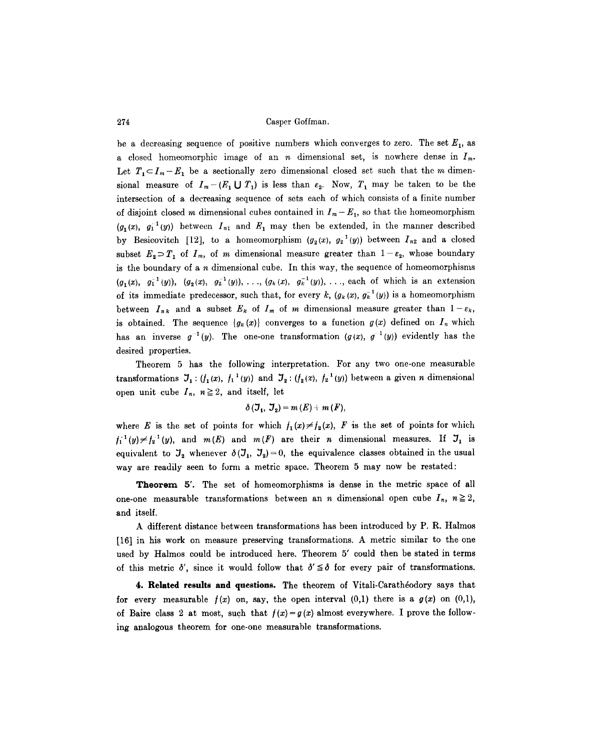be a decreasing sequence of positive numbers which converges to zero. The set  $E_1$ , as a closed homeomorphic image of an *n* dimensional set, is nowhere dense in  $I_m$ . Let  $T_1 \subset I_m - E_1$  be a sectionally zero dimensional closed set such that the m dimensional measure of  $I_m-(E_1 \cup T_1)$  is less than  $\varepsilon_2$ . Now,  $T_1$  may be taken to be the intersection of a decreasing sequence of sets each of which consists of a finite number of disjoint closed m dimensional cubes contained in  $I_m - E_1$ , so that the homeomorphism  $(g_1(x), g_1^{-1}(y))$  between  $I_{n1}$  and  $E_1$  may then be extended, in the manner described by Besicovitch [12], to a homeomorphism  $(g_2(x), g_2^{-1}(y))$  between  $I_{n2}$  and a closed subset  $E_2 \supset T_1$  of  $I_m$ , of m dimensional measure greater than  $1-\varepsilon_2$ , whose boundary is the boundary of a  $n$  dimensional cube. In this way, the sequence of homeomorphisms  $(g_1(x), g_1^{-1}(y)), (g_2(x), g_2^{-1}(y)), \ldots, (g_k(x), g_k^{-1}(y)), \ldots$  each of which is an extension of its immediate predecessor, such that, for every k,  $(g_k(x), g_k^{-1}(y))$  is a homeomorphism between  $I_{nk}$  and a subset  $E_k$  of  $I_m$  of m dimensional measure greater than  $1-\varepsilon_k$ , is obtained. The sequence  $\{g_k(x)\}\$  converges to a function  $g(x)$  defined on  $I_n$  which has an inverse  $g^{-1}(y)$ . The one-one transformation  $(g(x), g^{-1}(y))$  evidently has the desired properties.

Theorem 5 has the following interpretation. For any two one-one measurable transformations  $J_1$ :  $(f_1(x), f_1^{-1}(y))$  and  $J_2$ :  $(f_2(x), f_2^{-1}(y))$  between a given n dimensional open unit cube  $I_n$ ,  $n \geq 2$ , and itself, let

$$
\delta\left(\mathbf{J}_{1},\mathbf{J}_{2}\right)=m\left(E\right)+m\left(F\right),
$$

where E is the set of points for which  $f_1(x) \neq f_2(x)$ , F is the set of points for which  $f_1^{-1}(y) \neq f_2^{-1}(y)$ , and  $m(E)$  and  $m(F)$  are their *n* dimensional measures. If  $\mathcal{I}_1$  is equivalent to  $J_2$  whenever  $\delta(J_1, J_2)=0$ , the equivalence classes obtained in the usual way are readily seen to form a metric space. Theorem 5 may now be restated:

**Theorem** 5'. The set of homeomorphisms is dense in the metric space of all one-one measurable transformations between an *n* dimensional open cube  $I_n$ ,  $n \geq 2$ , and itself.

A different distance between transformations has been introduced by P. R. Halmos [16] in his work on measure preserving transformations. A metric similar to the one used by Halmos could be introduced here. Theorem 5' could then be stated in terms of this metric  $\delta'$ , since it would follow that  $\delta' \leq \delta$  for every pair of transformations.

**4. Related results and questions.** The theorem of Vitali-Carathéodory says that for every measurable  $f(x)$  on, say, the open interval  $(0,1)$  there is a  $g(x)$  on  $(0,1)$ , of Baire class 2 at most, such that  $f(x)=g(x)$  almost everywhere. I prove the following analogous theorem for one-one measurable transformations.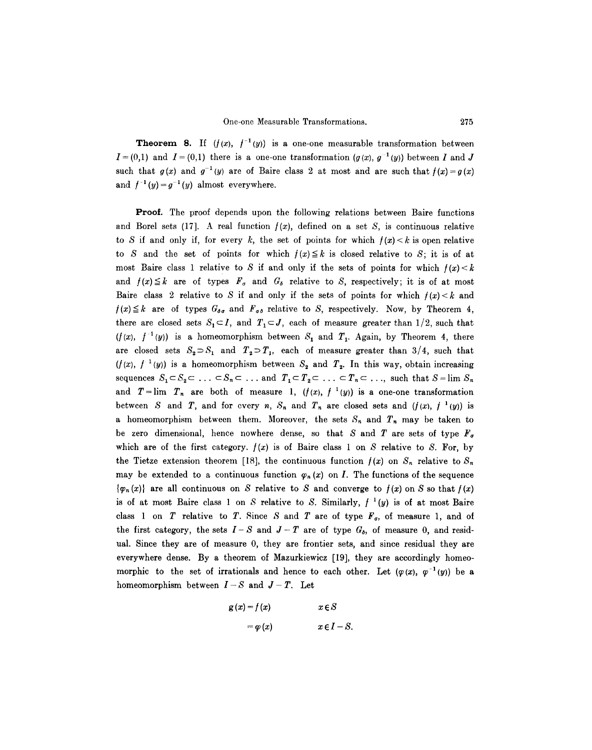**Theorem 8.** If  $(f(x), f^{-1}(y))$  is a one-one measurable transformation between  $I = (0,1)$  and  $I = (0,1)$  there is a one-one transformation  $(g(x), g^{-1}(y))$  between I and J such that  $g(x)$  and  $g^{-1}(y)$  are of Baire class 2 at most and are such that  $f(x) = g(x)$ and  $f^{-1}(y)=g^{-1}(y)$  almost everywhere.

Proof. The proof depends upon the following relations between Baire functions and Borel sets (17). A real function  $f(x)$ , defined on a set S, is continuous relative to S if and only if, for every k, the set of points for which  $f(x) < k$  is open relative to S and the set of points for which  $f(x) \leq k$  is closed relative to S; it is of at most Baire class 1 relative to S if and only if the sets of points for which  $f(x) < k$ and  $f(x) \leq k$  are of types  $F_{\sigma}$  and  $G_{\delta}$  relative to S, respectively; it is of at most Baire class 2 relative to S if and only if the sets of points for which  $f(x) < k$  and  $f(x) \leq k$  are of types  $G_{\delta q}$  and  $F_{q\delta}$  relative to S, respectively. Now, by Theorem 4, there are closed sets  $S_1 \subset I$ , and  $T_1 \subset J$ , each of measure greater than 1/2, such that  $(f(x), f^{-1}(y))$  is a homeomorphism between  $S_1$  and  $T_1$ . Again, by Theorem 4, there are closed sets  $S_2 \supset S_1$  and  $T_2 \supset T_1$ , each of measure greater than 3/4, such that  $(f(x), f^{-1}(y))$  is a homeomorphism between  $S_2$  and  $T_2$ . In this way, obtain increasing sequences  $S_1 \subset S_2 \subset \ldots \subset S_n \subset \ldots$  and  $T_1 \subset T_2 \subset \ldots \subset T_n \subset \ldots$ , such that  $S = \lim S_n$ and  $T = \lim_{n \to \infty} T_n$  are both of measure 1,  $(f(x), f^{-1}(y))$  is a one-one transformation between S and T, and for every n,  $S_n$  and  $T_n$  are closed sets and  $(f(x), f^{-1}(y))$  is a homeomorphism between them. Moreover, the sets  $S_n$  and  $T_n$  may be taken to be zero dimensional, hence nowhere dense, so that S and T are sets of type  $F<sub>g</sub>$ which are of the first category.  $f(x)$  is of Baire class 1 on S relative to S. For, by the Tietze extension theorem [18], the continuous function  $f(x)$  on  $S_n$  relative to  $S_n$ may be extended to a continuous function  $\varphi_n(x)$  on I. The functions of the sequence  ${~\langle \varphi_n(x) \rangle}$  are all continuous on S relative to S and converge to  $f(x)$  on S so that  $f(x)$ is of at most Baire class 1 on S relative to S. Similarly,  $f^{-1}(y)$  is of at most Baire class 1 on  $T$  relative to  $T$ . Since  $S$  and  $T$  are of type  $F<sub>\sigma</sub>$ , of measure 1, and of the first category, the sets  $I-S$  and  $J-T$  are of type  $G_{\delta}$ , of measure 0, and residual. Since they are of measure 0, they are frontier sets, and since residual they are everywhere dense. By a theorem of Mazurkiewicz [19], they are accordingly homeomorphic to the set of irrationals and hence to each other. Let  $(\varphi(x), \varphi^{-1}(y))$  be a homeomorphism between  $I-S$  and  $J-T$ . Let

$$
g(x) = f(x) \qquad x \in S
$$

$$
= \varphi(x) \qquad x \in I - S
$$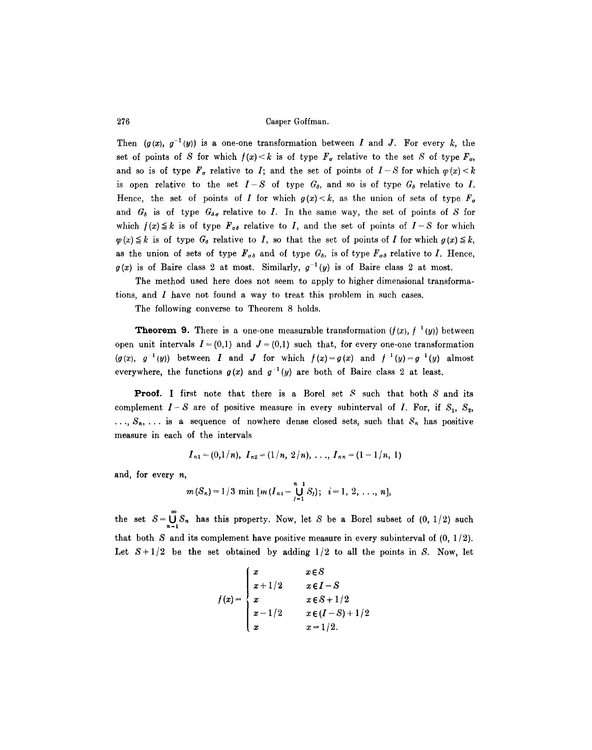Then  $(g(x), g^{-1}(y))$  is a one-one transformation between I and J. For every k, the set of points of S for which  $f(x) < k$  is of type  $F<sub>\sigma</sub>$  relative to the set S of type  $F<sub>\sigma</sub>$ , and so is of type  $F_{\sigma}$  relative to I; and the set of points of  $I-S$  for which  $\varphi(x)< k$ is open relative to the set  $I-S$  of type  $G_{\delta}$ , and so is of type  $G_{\delta}$  relative to I. Hence, the set of points of I for which  $g(x) < k$ , as the union of sets of type  $F_{\sigma}$ and  $G_{\delta}$  is of type  $G_{\delta\sigma}$  relative to I. In the same way, the set of points of S for which  $f(x) \leq k$  is of type  $F_{\sigma\delta}$  relative to I, and the set of points of  $I-S$  for which  $\varphi(x) \leq k$  is of type  $G_{\delta}$  relative to I, so that the set of points of I for which  $g(x) \leq k$ , as the union of sets of type  $F_{\sigma\delta}$  and of type  $G_{\delta}$ , is of type  $F_{\sigma\delta}$  relative to I. Hence,  $g(x)$  is of Baire class 2 at most. Similarly,  $g^{-1}(y)$  is of Baire class 2 at most.

The method used here does not seem to apply to higher dimensional transformations, and I have not found a way to treat this problem in such cases.

The following converse to Theorem 8 holds.

**Theorem 9.** There is a one-one measurable transformation  $(f(x), f^{-1}(y))$  between open unit intervals  $I = (0,1)$  and  $J = (0,1)$  such that, for every one-one transformation  $(g(x), g^{-1}(y))$  between I and J for which  $f(x) = g(x)$  and  $f^{-1}(y) = g^{-1}(y)$  almost everywhere, the functions  $g(x)$  and  $g^{-1}(y)$  are both of Baire class 2 at least.

**Proof.** I first note that there is a Borel set  $S$  such that both  $S$  and its complement  $I-S$  are of positive measure in every subinterval of I. For, if  $S_1$ ,  $S_2$ ,  $\ldots$ ,  $S_n$ ,  $\ldots$  is a sequence of nowhere dense closed sets, such that  $S_n$  has positive measure in each of the intervals

$$
I_{n1} = (0,1/n), I_{n2} = (1/n, 2/n), \ldots, I_{nn} = (1-1/n, 1)
$$

and, for every  $n$ ,

$$
m(S_n)=1/3 \min [m(I_{ni}-\bigcup_{j=1}^{n-1} S_j); i=1, 2, ..., n],
$$

the set  $S = \bigcup_{n=1}^{\infty} S_n$  has this property. Now, let S be a Borel subset of (0, 1/2) such that both S and its complement have positive measure in every subinterval of  $(0, 1/2)$ . Let  $S+1/2$  be the set obtained by adding  $1/2$  to all the points in S. Now, let

$$
f(x) = \begin{cases} x & x \in S \\ x + 1/2 & x \in I - S \\ x & x \in S + 1/2 \\ x - 1/2 & x \in (I - S) + 1/2 \\ x & x = 1/2. \end{cases}
$$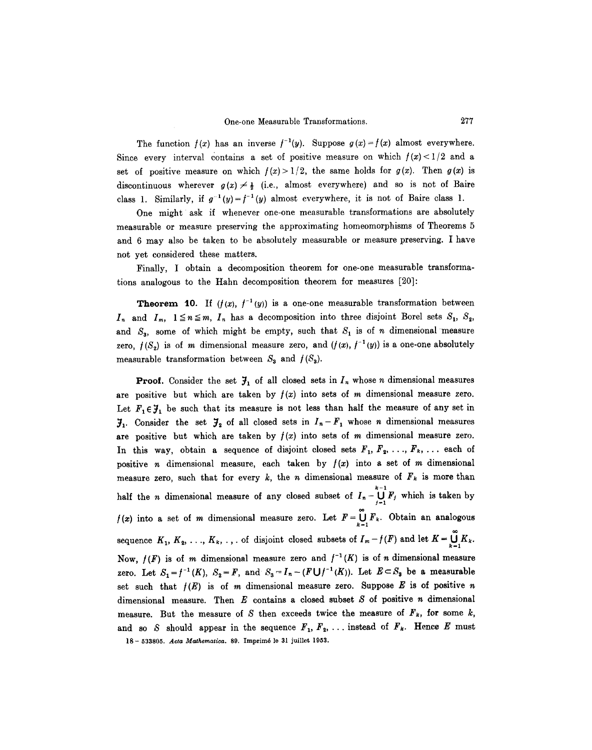The function  $f(x)$  has an inverse  $f^{-1}(y)$ . Suppose  $g(x)=f(x)$  almost everywhere. Since every interval contains a set of positive measure on which  $f(x) < 1/2$  and a set of positive measure on which  $f(x) > 1/2$ , the same holds for  $g(x)$ . Then  $g(x)$  is discontinuous wherever  $g(x) \neq \frac{1}{2}$  (i.e., almost everywhere) and so is not of Baire class 1. Similarly, if  $g^{-1}(y)=f^{-1}(y)$  almost everywhere, it is not of Baire class 1.

One might ask if whenever one-one measurable transformations are absolutely measurable or measure preserving the approximating homeomorphisms of Theorems 5 and 6 may also be taken to be absolutely measurable or measure preserving. I have not yet considered these matters.

Finally, I obtain a decomposition theorem for one-one measurable transformations analogous to the Hahn decomposition theorem for measures [20]:

**Theorem 10.** If  $(f(x), f^{-1}(y))$  is a one-one measurable transformation between  $I_n$  and  $I_m$ ,  $1 \le n \le m$ ,  $I_n$  has a decomposition into three disjoint Borel sets  $S_1$ ,  $S_2$ , and  $S_3$ , some of which might be empty, such that  $S_1$  is of n dimensional measure zero,  $f(S_2)$  is of m dimensional measure zero, and  $(f(x), f^{-1}(y))$  is a one-one absolutely measurable transformation between  $S_3$  and  $f(S_3)$ .

**Proof.** Consider the set  $\mathcal{J}_1$  of all closed sets in  $I_n$  whose *n* dimensional measures are positive but which are taken by  $f(x)$  into sets of m dimensional measure zero. Let  $F_1 \in \mathcal{F}_1$  be such that its measure is not less than half the measure of any set in  $\mathfrak{Z}_1$ . Consider the set  $\mathfrak{Z}_2$  of all closed sets in  $I_n-F_1$  whose *n* dimensional measures are positive but which are taken by  $f(x)$  into sets of m dimensional measure zero. In this way, obtain a sequence of disjoint closed sets  $F_1, F_2, \ldots, F_k, \ldots$  each of positive *n* dimensional measure, each taken by  $f(x)$  into a set of *m* dimensional measure zero, such that for every k, the n dimensional measure of  $F_k$  is more than k-1 half the *n* dimensional measure of any closed subset of  $I_n - \bigcup_{j=1}^n F_j$  which is taken by  $f(x)$  into a set of m dimensional measure zero. Let  $F = \bigcup_{k=1}^{\infty} F_k$ . Obtain an analogous sequence  $K_1, K_2, \ldots, K_k, \ldots$  of disjoint closed subsets of  $I_m-f(F)$  and let  $K=\bigcup_{k=1}^{\infty} K_k$ . Now,  $f(F)$  is of m dimensional measure zero and  $f^{-1}(K)$  is of n dimensional measure zero. Let  $S_1=f^{-1}(K)$ ,  $S_2=F$ , and  $S_3=I_n-(F\bigcup f^{-1}(K))$ . Let  $E\subset S_3$  be a measurable set such that  $f(E)$  is of m dimensional measure zero. Suppose E is of positive n dimensional measure. Then  $E$  contains a closed subset  $S$  of positive  $n$  dimensional measure. But the measure of S then exceeds twice the measure of  $\mathbf{F}_k$ , for some k, and so S should appear in the sequence  $F_1, F_2, \ldots$  instead of  $F_k$ . Hence E must 18 - 533805. *Acta Mathematica*. 89. Imprimé le 31 juillet 1953.